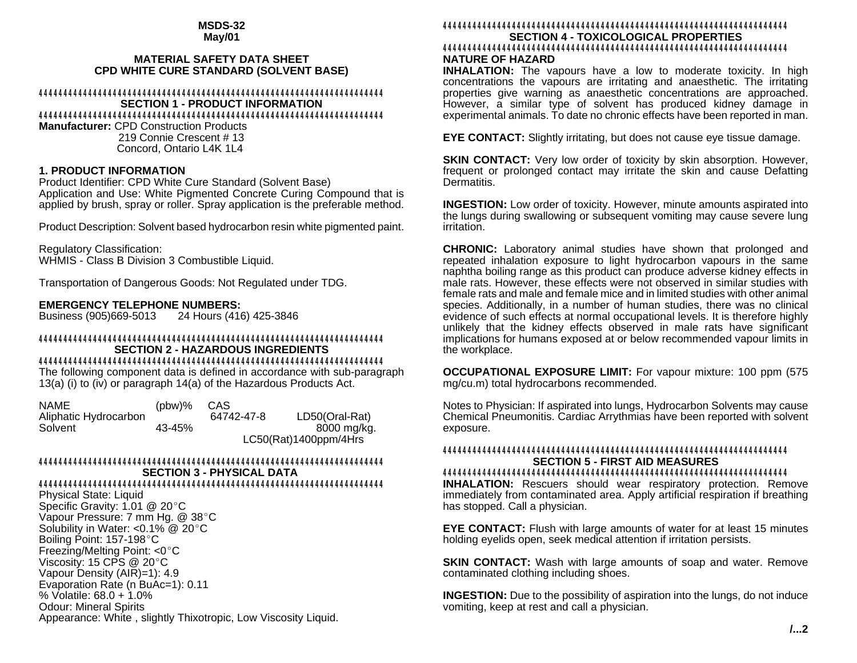#### **MSDS-32 May/01**

### **MATERIAL SAFETY DATA SHEET CPD WHITE CURE STANDARD (SOLVENT BASE)**

#### 4444444444444444444444444444444444444444444444444444444444444444444444 **SECTION 1 - PRODUCT INFORMATION** 4444444444444444444444444444444444444444444444444444444444444444444444

**Manufacturer:** CPD Construction Products 219 Connie Crescent # 13 Concord, Ontario L4K 1L4

## **1. PRODUCT INFORMATION**

Product Identifier: CPD White Cure Standard (Solvent Base) Application and Use: White Pigmented Concrete Curing Compound that is applied by brush, spray or roller. Spray application is the preferable method.

Product Description: Solvent based hydrocarbon resin white pigmented paint.

Regulatory Classification: WHMIS - Class B Division 3 Combustible Liquid.

Transportation of Dangerous Goods: Not Regulated under TDG.

# **EMERGENCY TELEPHONE NUMBERS:**<br>Business (905)669-5013 24 Hours (416

24 Hours (416) 425-3846

#### 4444444444444444444444444444444444444444444444444444444444444444444444 **SECTION 2 - HAZARDOUS INGREDIENTS** 4444444444444444444444444444444444444444444444444444444444444444444444

The following component data is defined in accordance with sub-paragraph 13(a) (i) to (iv) or paragraph 14(a) of the Hazardous Products Act.

| <b>NAME</b>           | $(bbw)\%$ | CAS                   |                |
|-----------------------|-----------|-----------------------|----------------|
| Aliphatic Hydrocarbon |           | 64742-47-8            | LD50(Oral-Rat) |
| Solvent               | 43-45%    |                       | 8000 mg/kg.    |
|                       |           | LC50(Rat)1400ppm/4Hrs |                |

#### 4444444444444444444444444444444444444444444444444444444444444444444444 **SECTION 3 - PHYSICAL DATA**

## 4444444444444444444444444444444444444444444444444444444444444444444444

Physical State: Liquid Specific Gravity:  $1.01 \ @ 20^{\circ}$ C Vapour Pressure: 7 mm Hg. @ 38°C Solubility in Water:  $< 0.1\%$  @ 20 $^{\circ}$ C Boiling Point: 157-198 °C Freezing/Melting Point:  $<0$  °C Viscosity:  $15$  CPS @  $20^{\circ}$ C Vapour Density (AIR)=1): 4.9 Evaporation Rate (n BuAc=1): 0.11 % Volatile: 68.0 + 1.0% Odour: Mineral Spirits Appearance: White , slightly Thixotropic, Low Viscosity Liquid.

## 4444444444444444444444444444444444444444444444444444444444444444444444 **SECTION 4 - TOXICOLOGICAL PROPERTIES**

## 4444444444444444444444444444444444444444444444444444444444444444444444 **NATURE OF HAZARD**

**INHALATION:** The vapours have a low to moderate toxicity. In high concentrations the vapours are irritating and anaesthetic. The irritating properties give warning as anaesthetic concentrations are approached. However, a similar type of solvent has produced kidney damage in experimental animals. To date no chronic effects have been reported in man.

**EYE CONTACT:** Slightly irritating, but does not cause eye tissue damage.

**SKIN CONTACT:** Very low order of toxicity by skin absorption. However, frequent or prolonged contact may irritate the skin and cause Defatting Dermatitis.

**INGESTION:** Low order of toxicity. However, minute amounts aspirated into the lungs during swallowing or subsequent vomiting may cause severe lung irritation.

**CHRONIC:** Laboratory animal studies have shown that prolonged and repeated inhalation exposure to light hydrocarbon vapours in the same naphtha boiling range as this product can produce adverse kidney effects in male rats. However, these effects were not observed in similar studies with female rats and male and female mice and in limited studies with other animal species. Additionally, in a number of human studies, there was no clinical evidence of such effects at normal occupational levels. It is therefore highly unlikely that the kidney effects observed in male rats have significant implications for humans exposed at or below recommended vapour limits in the workplace.

**OCCUPATIONAL EXPOSURE LIMIT:** For vapour mixture: 100 ppm (575 mg/cu.m) total hydrocarbons recommended.

Notes to Physician: If aspirated into lungs, Hydrocarbon Solvents may cause Chemical Pneumonitis. Cardiac Arrythmias have been reported with solvent exposure.

#### 4444444444444444444444444444444444444444444444444444444444444444444444 **SECTION 5 - FIRST AID MEASURES** 4444444444444444444444444444444444444444444444444444444444444444444444

**INHALATION:** Rescuers should wear respiratory protection. Remove immediately from contaminated area. Apply artificial respiration if breathing has stopped. Call a physician.

**EYE CONTACT:** Flush with large amounts of water for at least 15 minutes holding eyelids open, seek medical attention if irritation persists.

**SKIN CONTACT:** Wash with large amounts of soap and water. Remove contaminated clothing including shoes.

**INGESTION:** Due to the possibility of aspiration into the lungs, do not induce vomiting, keep at rest and call a physician.